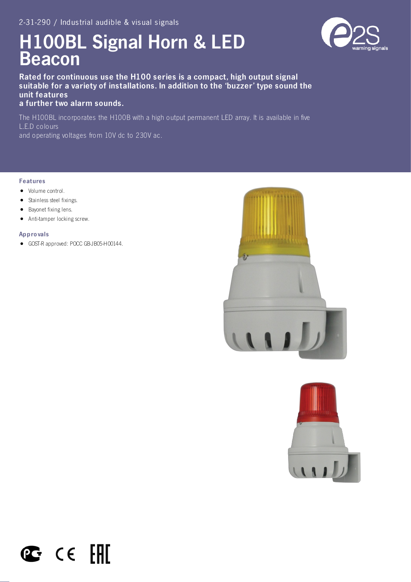# H100BL Signal Horn & LED Beacon

Rated for continuous use the H100 series is a compact, high output signal suitable for a variety of installations. In addition to the 'buzzer' type sound the unit features

a further two alarm sounds.

The H100BL incorporates the H100B with a high output permanent LED array. It is available in five L.E.D colours and operating voltages from 10V dc to 230V ac.

#### Features

- Volume control.
- Stainless steel fixings.
- Bayonet fixing lens.
- Anti-tamper locking screw.  $\bullet$

#### Appro vals

GOST-R approved: POCC GB-JB05-H00144.

 $\mathbb{C}$  ce  $\mathbb{H}$